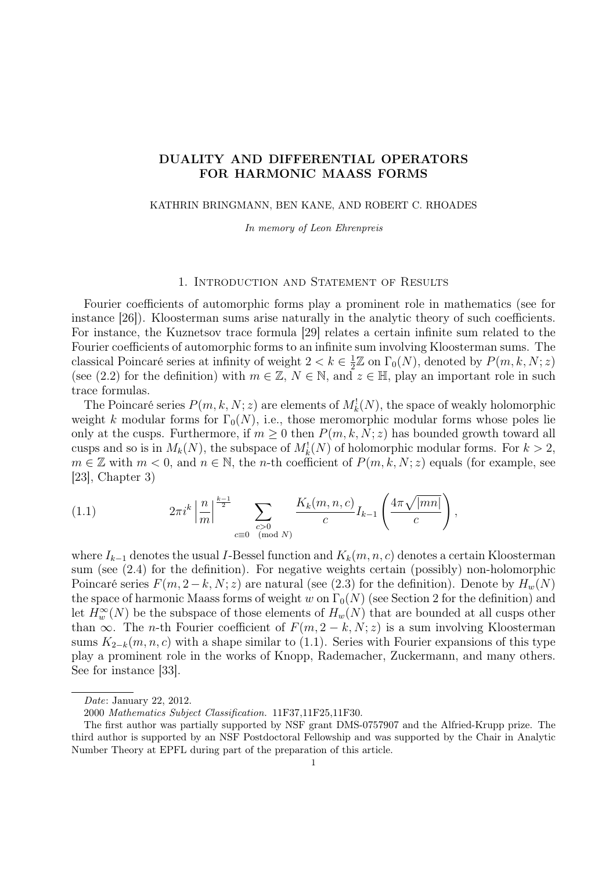# DUALITY AND DIFFERENTIAL OPERATORS FOR HARMONIC MAASS FORMS

#### KATHRIN BRINGMANN, BEN KANE, AND ROBERT C. RHOADES

In memory of Leon Ehrenpreis

### 1. Introduction and Statement of Results

Fourier coefficients of automorphic forms play a prominent role in mathematics (see for instance [26]). Kloosterman sums arise naturally in the analytic theory of such coefficients. For instance, the Kuznetsov trace formula [29] relates a certain infinite sum related to the Fourier coefficients of automorphic forms to an infinite sum involving Kloosterman sums. The classical Poincaré series at infinity of weight  $2 < k \in \frac{1}{2}$  $\frac{1}{2}\mathbb{Z}$  on  $\Gamma_0(N)$ , denoted by  $P(m, k, N; z)$ (see (2.2) for the definition) with  $m \in \mathbb{Z}$ ,  $N \in \mathbb{N}$ , and  $z \in \mathbb{H}$ , play an important role in such trace formulas.

The Poincaré series  $P(m, k, N; z)$  are elements of  $M_k^1(N)$ , the space of weakly holomorphic weight k modular forms for  $\Gamma_0(N)$ , i.e., those meromorphic modular forms whose poles lie only at the cusps. Furthermore, if  $m \geq 0$  then  $P(m, k, N; z)$  has bounded growth toward all cusps and so is in  $M_k(N)$ , the subspace of  $M_k(N)$  of holomorphic modular forms. For  $k > 2$ ,  $m \in \mathbb{Z}$  with  $m < 0$ , and  $n \in \mathbb{N}$ , the *n*-th coefficient of  $P(m, k, N; z)$  equals (for example, see [23], Chapter 3)

(1.1) 
$$
2\pi i^{k} \left| \frac{n}{m} \right|^{\frac{k-1}{2}} \sum_{\substack{c > 0 \\ c \equiv 0 \pmod{N}}} \frac{K_{k}(m, n, c)}{c} I_{k-1} \left( \frac{4\pi \sqrt{|mn|}}{c} \right),
$$

where  $I_{k-1}$  denotes the usual I-Bessel function and  $K_k(m, n, c)$  denotes a certain Kloosterman sum (see (2.4) for the definition). For negative weights certain (possibly) non-holomorphic Poincaré series  $F(m, 2-k, N; z)$  are natural (see (2.3) for the definition). Denote by  $H_w(N)$ the space of harmonic Maass forms of weight w on  $\Gamma_0(N)$  (see Section 2 for the definition) and let  $H_w^{\infty}(N)$  be the subspace of those elements of  $H_w(N)$  that are bounded at all cusps other than  $\infty$ . The *n*-th Fourier coefficient of  $F(m, 2-k, N; z)$  is a sum involving Kloosterman sums  $K_{2-k}(m, n, c)$  with a shape similar to (1.1). Series with Fourier expansions of this type play a prominent role in the works of Knopp, Rademacher, Zuckermann, and many others. See for instance [33].

Date: January 22, 2012.

<sup>2000</sup> Mathematics Subject Classification. 11F37,11F25,11F30.

The first author was partially supported by NSF grant DMS-0757907 and the Alfried-Krupp prize. The third author is supported by an NSF Postdoctoral Fellowship and was supported by the Chair in Analytic Number Theory at EPFL during part of the preparation of this article.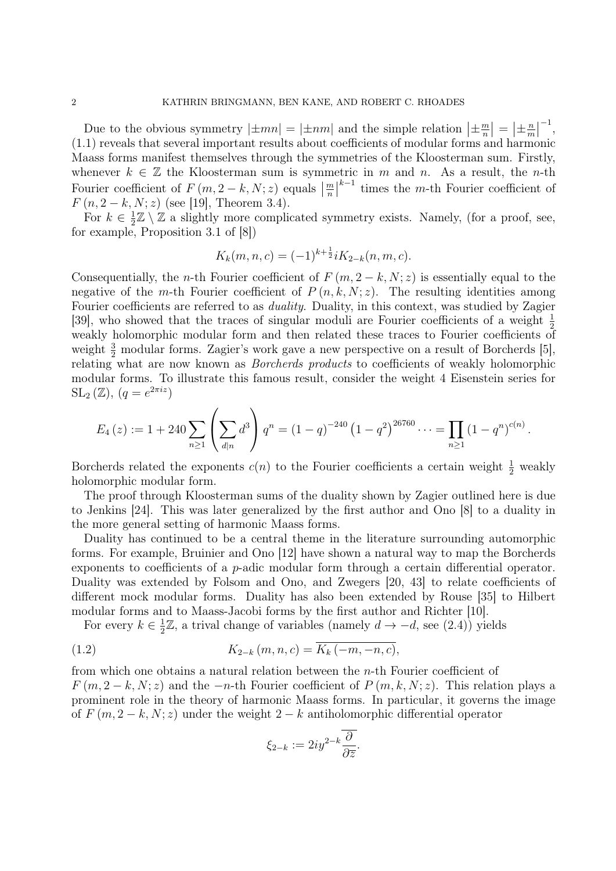Due to the obvious symmetry  $|\pm mn| = |\pm nm|$  and the simple relation  $|\pm \frac{m}{n}|$  $\left| \frac{m}{n} \right| = \left| \pm \frac{n}{m} \right|$  $\frac{n}{m}$ −1 , (1.1) reveals that several important results about coefficients of modular forms and harmonic Maass forms manifest themselves through the symmetries of the Kloosterman sum. Firstly, whenever  $k \in \mathbb{Z}$  the Kloosterman sum is symmetric in m and n. As a result, the n-th Fourier coefficient of  $F(m, 2-k, N; z)$  equals  $\left|\frac{m}{n}\right|$  $k-1$  times the m-th Fourier coefficient of  $F(n, 2-k, N; z)$  (see [19], Theorem 3.4).

For  $k \in \frac{1}{2}$  $\frac{1}{2}\mathbb{Z} \setminus \mathbb{Z}$  a slightly more complicated symmetry exists. Namely, (for a proof, see, for example, Proposition 3.1 of [8])

$$
K_k(m, n, c) = (-1)^{k + \frac{1}{2}} i K_{2-k}(n, m, c).
$$

Consequentially, the *n*-th Fourier coefficient of  $F(m, 2-k, N; z)$  is essentially equal to the negative of the m-th Fourier coefficient of  $P(n, k, N; z)$ . The resulting identities among Fourier coefficients are referred to as *duality*. Duality, in this context, was studied by Zagier [39], who showed that the traces of singular moduli are Fourier coefficients of a weight  $\frac{1}{2}$ weakly holomorphic modular form and then related these traces to Fourier coefficients of weight  $\frac{3}{2}$  modular forms. Zagier's work gave a new perspective on a result of Borcherds [5], relating what are now known as Borcherds products to coefficients of weakly holomorphic modular forms. To illustrate this famous result, consider the weight 4 Eisenstein series for  $SL_2(\mathbb{Z}), (q=e^{2\pi i z})$ 

$$
E_4(z) := 1 + 240 \sum_{n \geq 1} \left( \sum_{d|n} d^3 \right) q^n = (1 - q)^{-240} \left( 1 - q^2 \right)^{26760} \cdots = \prod_{n \geq 1} \left( 1 - q^n \right)^{c(n)}.
$$

Borcherds related the exponents  $c(n)$  to the Fourier coefficients a certain weight  $\frac{1}{2}$  weakly holomorphic modular form.

The proof through Kloosterman sums of the duality shown by Zagier outlined here is due to Jenkins [24]. This was later generalized by the first author and Ono [8] to a duality in the more general setting of harmonic Maass forms.

Duality has continued to be a central theme in the literature surrounding automorphic forms. For example, Bruinier and Ono [12] have shown a natural way to map the Borcherds exponents to coefficients of a  $p$ -adic modular form through a certain differential operator. Duality was extended by Folsom and Ono, and Zwegers [20, 43] to relate coefficients of different mock modular forms. Duality has also been extended by Rouse [35] to Hilbert modular forms and to Maass-Jacobi forms by the first author and Richter [10].

For every  $k \in \frac{1}{2}$  $\frac{1}{2}\mathbb{Z}$ , a trival change of variables (namely  $d \to -d$ , see (2.4)) yields

(1.2) 
$$
K_{2-k}(m, n, c) = \overline{K_k(-m, -n, c)},
$$

from which one obtains a natural relation between the n-th Fourier coefficient of  $F(m, 2-k, N; z)$  and the  $-n$ -th Fourier coefficient of  $P(m, k, N; z)$ . This relation plays a prominent role in the theory of harmonic Maass forms. In particular, it governs the image of  $F(m, 2-k, N; z)$  under the weight  $2-k$  antiholomorphic differential operator

$$
\xi_{2-k}:=2iy^{2-k}\overline{\frac{\partial}{\partial\overline{z}}},
$$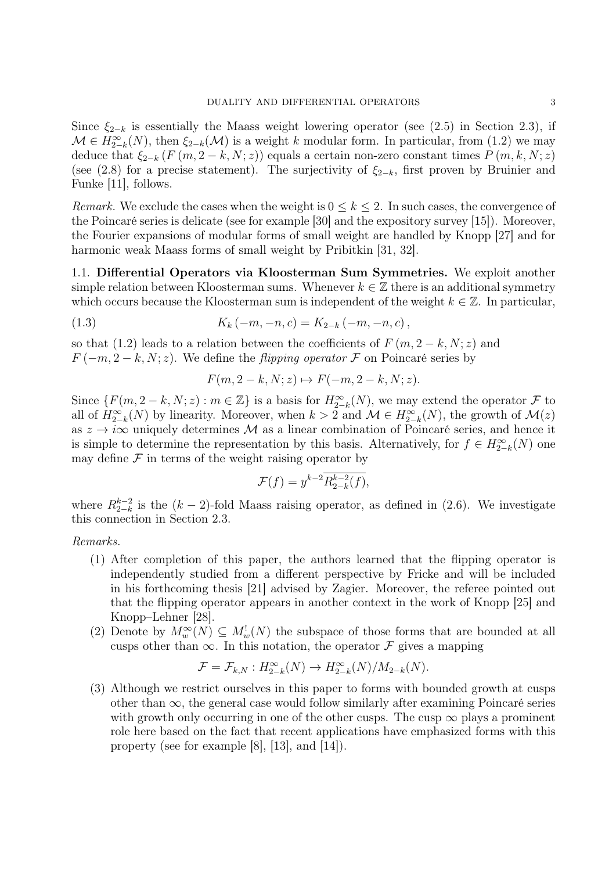Since  $\xi_{2-k}$  is essentially the Maass weight lowering operator (see (2.5) in Section 2.3), if  $\mathcal{M} \in H^{\infty}_{2-k}(N)$ , then  $\xi_{2-k}(\mathcal{M})$  is a weight k modular form. In particular, from (1.2) we may deduce that  $\xi_{2-k}$  (F  $(m, 2-k, N; z)$ ) equals a certain non-zero constant times  $P(m, k, N; z)$ (see (2.8) for a precise statement). The surjectivity of  $\xi_{2-k}$ , first proven by Bruinier and Funke [11], follows.

*Remark.* We exclude the cases when the weight is  $0 \leq k \leq 2$ . In such cases, the convergence of the Poincaré series is delicate (see for example [30] and the expository survey [15]). Moreover, the Fourier expansions of modular forms of small weight are handled by Knopp [27] and for harmonic weak Maass forms of small weight by Pribitkin [31, 32].

1.1. Differential Operators via Kloosterman Sum Symmetries. We exploit another simple relation between Kloosterman sums. Whenever  $k \in \mathbb{Z}$  there is an additional symmetry which occurs because the Kloosterman sum is independent of the weight  $k \in \mathbb{Z}$ . In particular,

(1.3) 
$$
K_k(-m,-n,c) = K_{2-k}(-m,-n,c),
$$

so that (1.2) leads to a relation between the coefficients of  $F(m, 2-k, N; z)$  and  $F(-m, 2-k, N; z)$ . We define the *flipping operator*  $\mathcal F$  on Poincaré series by

 $F(m, 2-k, N; z) \mapsto F(-m, 2-k, N; z).$ 

Since  $\{F(m, 2-k, N; z) : m \in \mathbb{Z}\}\$ is a basis for  $H_{2-k}^{\infty}(N)$ , we may extend the operator  $\mathcal F$  to all of  $H_{2-k}^{\infty}(N)$  by linearity. Moreover, when  $k > 2$  and  $\mathcal{M} \in H_{2-k}^{\infty}(N)$ , the growth of  $\mathcal{M}(z)$ as  $z \to i\infty$  uniquely determines M as a linear combination of Poincaré series, and hence it is simple to determine the representation by this basis. Alternatively, for  $f \in H_{2-k}^{\infty}(N)$  one may define  $\mathcal F$  in terms of the weight raising operator by

$$
\mathcal{F}(f) = y^{k-2} \overline{R_{2-k}^{k-2}(f)},
$$

where  $R_{2-k}^{k-2}$  $_{2-k}^{k-2}$  is the  $(k-2)$ -fold Maass raising operator, as defined in (2.6). We investigate this connection in Section 2.3.

### Remarks.

- (1) After completion of this paper, the authors learned that the flipping operator is independently studied from a different perspective by Fricke and will be included in his forthcoming thesis [21] advised by Zagier. Moreover, the referee pointed out that the flipping operator appears in another context in the work of Knopp [25] and Knopp–Lehner [28].
- (2) Denote by  $M_w^{\infty}(N) \subseteq M_w^{\perp}(N)$  the subspace of those forms that are bounded at all cusps other than  $\infty$ . In this notation, the operator  $\mathcal F$  gives a mapping

$$
\mathcal{F} = \mathcal{F}_{k,N} : H^{\infty}_{2-k}(N) \to H^{\infty}_{2-k}(N)/M_{2-k}(N).
$$

(3) Although we restrict ourselves in this paper to forms with bounded growth at cusps other than  $\infty$ , the general case would follow similarly after examining Poincaré series with growth only occurring in one of the other cusps. The cusp  $\infty$  plays a prominent role here based on the fact that recent applications have emphasized forms with this property (see for example [8], [13], and [14]).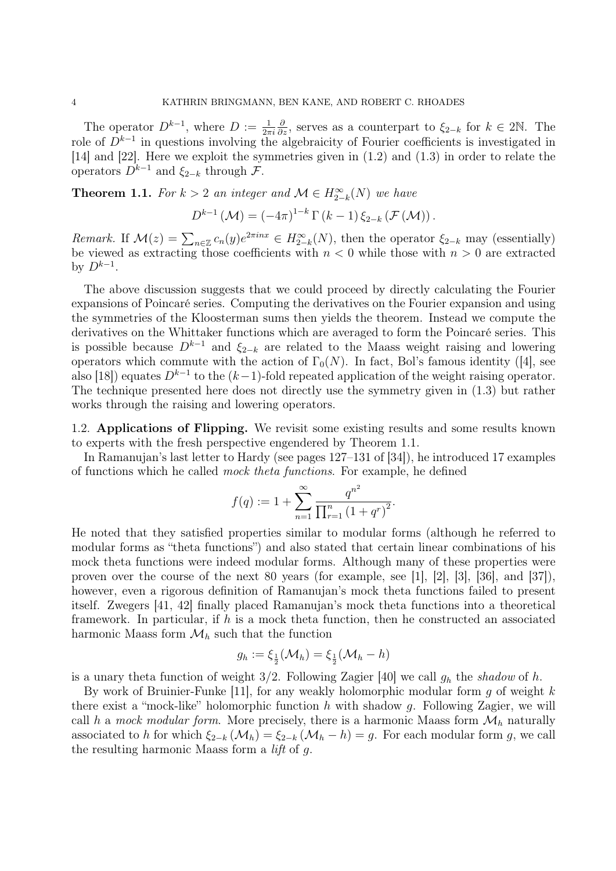The operator  $D^{k-1}$ , where  $D := \frac{1}{2\pi i}$  $\frac{\partial}{\partial z}$ , serves as a counterpart to  $\xi_{2-k}$  for  $k \in 2\mathbb{N}$ . The role of  $D^{k-1}$  in questions involving the algebraicity of Fourier coefficients is investigated in [14] and [22]. Here we exploit the symmetries given in (1.2) and (1.3) in order to relate the operators  $D^{k-1}$  and  $\xi_{2-k}$  through  $\mathcal{F}$ .

**Theorem 1.1.** For  $k > 2$  an integer and  $\mathcal{M} \in H_{2-k}^{\infty}(N)$  we have

$$
D^{k-1}(\mathcal{M}) = (-4\pi)^{1-k} \Gamma(k-1) \xi_{2-k}(\mathcal{F}(\mathcal{M})).
$$

Remark. If  $\mathcal{M}(z) = \sum_{n \in \mathbb{Z}} c_n(y) e^{2\pi i nx} \in H_{2-k}^{\infty}(N)$ , then the operator  $\xi_{2-k}$  may (essentially) be viewed as extracting those coefficients with  $n < 0$  while those with  $n > 0$  are extracted by  $D^{k-1}$ .

The above discussion suggests that we could proceed by directly calculating the Fourier expansions of Poincaré series. Computing the derivatives on the Fourier expansion and using the symmetries of the Kloosterman sums then yields the theorem. Instead we compute the derivatives on the Whittaker functions which are averaged to form the Poincaré series. This is possible because  $D^{k-1}$  and  $\xi_{2-k}$  are related to the Maass weight raising and lowering operators which commute with the action of  $\Gamma_0(N)$ . In fact, Bol's famous identity ([4], see also [18]) equates  $D^{k-1}$  to the  $(k-1)$ -fold repeated application of the weight raising operator. The technique presented here does not directly use the symmetry given in (1.3) but rather works through the raising and lowering operators.

1.2. Applications of Flipping. We revisit some existing results and some results known to experts with the fresh perspective engendered by Theorem 1.1.

In Ramanujan's last letter to Hardy (see pages 127–131 of [34]), he introduced 17 examples of functions which he called mock theta functions. For example, he defined

$$
f(q) := 1 + \sum_{n=1}^{\infty} \frac{q^{n^2}}{\prod_{r=1}^n (1 + q^r)^2}.
$$

He noted that they satisfied properties similar to modular forms (although he referred to modular forms as "theta functions") and also stated that certain linear combinations of his mock theta functions were indeed modular forms. Although many of these properties were proven over the course of the next 80 years (for example, see [1], [2], [3], [36], and [37]), however, even a rigorous definition of Ramanujan's mock theta functions failed to present itself. Zwegers [41, 42] finally placed Ramanujan's mock theta functions into a theoretical framework. In particular, if  $h$  is a mock theta function, then he constructed an associated harmonic Maass form  $\mathcal{M}_h$  such that the function

$$
g_h := \xi_{\frac{1}{2}}(\mathcal{M}_h) = \xi_{\frac{1}{2}}(\mathcal{M}_h - h)
$$

is a unary theta function of weight  $3/2$ . Following Zagier [40] we call  $g_h$  the shadow of h.

By work of Bruinier-Funke  $[11]$ , for any weakly holomorphic modular form g of weight k there exist a "mock-like" holomorphic function  $h$  with shadow  $g$ . Following Zagier, we will call h a mock modular form. More precisely, there is a harmonic Maass form  $\mathcal{M}_h$  naturally associated to h for which  $\xi_{2-k}(\mathcal{M}_h) = \xi_{2-k}(\mathcal{M}_h - h) = g$ . For each modular form g, we call the resulting harmonic Maass form a lift of g.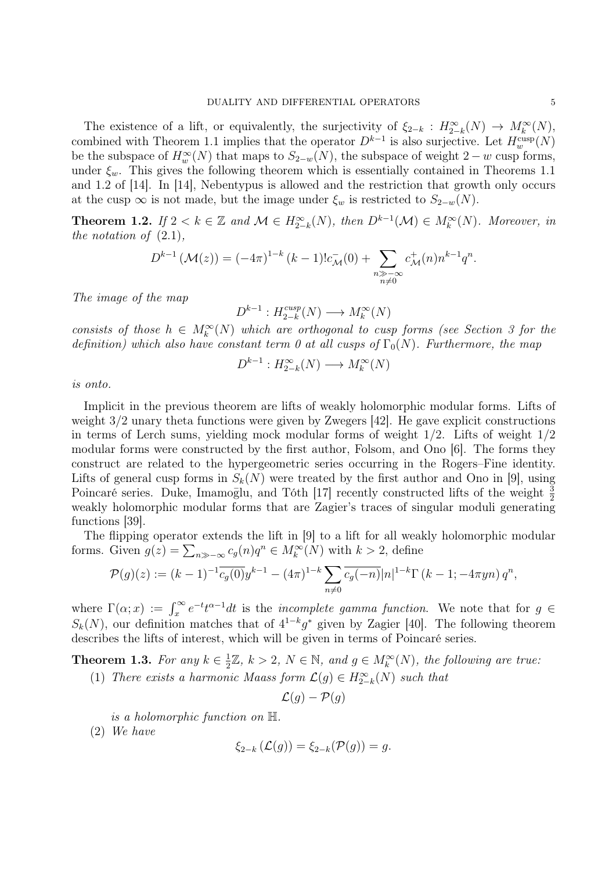The existence of a lift, or equivalently, the surjectivity of  $\xi_{2-k}$ :  $H_{2-k}^{\infty}(N) \to M_k^{\infty}(N)$ , combined with Theorem 1.1 implies that the operator  $D^{k-1}$  is also surjective. Let  $H_w^{\text{cusp}}(N)$ be the subspace of  $H_w^{\infty}(N)$  that maps to  $S_{2-w}(N)$ , the subspace of weight  $2-w$  cusp forms, under  $\xi_w$ . This gives the following theorem which is essentially contained in Theorems 1.1 and 1.2 of [14]. In [14], Nebentypus is allowed and the restriction that growth only occurs at the cusp  $\infty$  is not made, but the image under  $\xi_w$  is restricted to  $S_{2-w}(N)$ .

**Theorem 1.2.** If  $2 < k \in \mathbb{Z}$  and  $\mathcal{M} \in H_{2-k}^{\infty}(N)$ , then  $D^{k-1}(\mathcal{M}) \in M_k^{\infty}(N)$ . Moreover, in the notation of  $(2.1)$ ,

$$
D^{k-1}(\mathcal{M}(z)) = (-4\pi)^{1-k} (k-1)! c_{\mathcal{M}}^-(0) + \sum_{\substack{n \gg -\infty \\ n \neq 0}} c_{\mathcal{M}}^+(n) n^{k-1} q^n.
$$

The image of the map

 $D^{k-1}: H_{2-k}^{cusp}$  $\chi_{2-k}^{cusp}(N) \longrightarrow M_k^{\infty}(N)$ 

consists of those  $h \in M_k^{\infty}(N)$  which are orthogonal to cusp forms (see Section 3 for the definition) which also have constant term 0 at all cusps of  $\Gamma_0(N)$ . Furthermore, the map

$$
D^{k-1}: H^{\infty}_{2-k}(N) \longrightarrow M^{\infty}_{k}(N)
$$

is onto.

Implicit in the previous theorem are lifts of weakly holomorphic modular forms. Lifts of weight 3/2 unary theta functions were given by Zwegers [42]. He gave explicit constructions in terms of Lerch sums, yielding mock modular forms of weight 1/2. Lifts of weight 1/2 modular forms were constructed by the first author, Folsom, and Ono [6]. The forms they construct are related to the hypergeometric series occurring in the Rogers–Fine identity. Lifts of general cusp forms in  $S_k(N)$  were treated by the first author and Ono in [9], using Poincaré series. Duke, Imamoglu, and Tóth [17] recently constructed lifts of the weight  $\frac{3}{2}$ weakly holomorphic modular forms that are Zagier's traces of singular moduli generating functions [39].

The flipping operator extends the lift in [9] to a lift for all weakly holomorphic modular forms. Given  $g(z) = \sum_{n \gg -\infty} c_g(n) q^n \in M_k^{\infty}(N)$  with  $k > 2$ , define

$$
\mathcal{P}(g)(z) := (k-1)^{-1} \overline{c_g(0)} y^{k-1} - (4\pi)^{1-k} \sum_{n \neq 0} \overline{c_g(-n)} |n|^{1-k} \Gamma(k-1; -4\pi yn) q^n,
$$

where  $\Gamma(\alpha; x) := \int_x^{\infty} e^{-t} t^{\alpha-1} dt$  is the *incomplete gamma function*. We note that for  $g \in$  $S_k(N)$ , our definition matches that of  $4^{1-k}g^*$  given by Zagier [40]. The following theorem describes the lifts of interest, which will be given in terms of Poincaré series.

**Theorem 1.3.** For any  $k \in \frac{1}{2}$  $\frac{1}{2}\mathbb{Z}, k > 2, N \in \mathbb{N}, \text{ and } g \in M_k^{\infty}(N)$ , the following are true:

(1) There exists a harmonic Maass form  $\mathcal{L}(g) \in H_{2-k}^{\infty}(N)$  such that

$$
\mathcal{L}(g) - \mathcal{P}(g)
$$

is a holomorphic function on H.

(2) We have

$$
\xi_{2-k}(\mathcal{L}(g)) = \xi_{2-k}(\mathcal{P}(g)) = g.
$$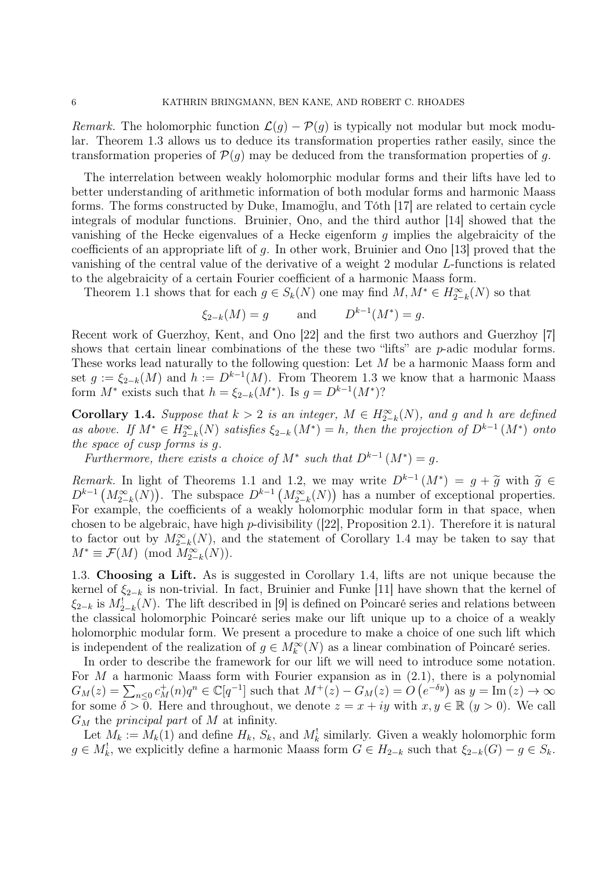Remark. The holomorphic function  $\mathcal{L}(g) - \mathcal{P}(g)$  is typically not modular but mock modular. Theorem 1.3 allows us to deduce its transformation properties rather easily, since the transformation properies of  $\mathcal{P}(q)$  may be deduced from the transformation properties of q.

The interrelation between weakly holomorphic modular forms and their lifts have led to better understanding of arithmetic information of both modular forms and harmonic Maass forms. The forms constructed by Duke, Imamoglu, and Tóth [17] are related to certain cycle integrals of modular functions. Bruinier, Ono, and the third author [14] showed that the vanishing of the Hecke eigenvalues of a Hecke eigenform g implies the algebraicity of the coefficients of an appropriate lift of  $g$ . In other work, Bruinier and Ono [13] proved that the vanishing of the central value of the derivative of a weight 2 modular L-functions is related to the algebraicity of a certain Fourier coefficient of a harmonic Maass form.

Theorem 1.1 shows that for each  $g \in S_k(N)$  one may find  $M, M^* \in H_{2-k}^{\infty}(N)$  so that

$$
\xi_{2-k}(M) = g
$$
 and  $D^{k-1}(M^*) = g$ .

Recent work of Guerzhoy, Kent, and Ono [22] and the first two authors and Guerzhoy [7] shows that certain linear combinations of the these two "lifts" are *p*-adic modular forms. These works lead naturally to the following question: Let M be a harmonic Maass form and set  $g := \xi_{2-k}(M)$  and  $h := D^{k-1}(M)$ . From Theorem 1.3 we know that a harmonic Maass form  $M^*$  exists such that  $h = \xi_{2-k}(M^*)$ . Is  $g = D^{k-1}(M^*)$ ?

**Corollary 1.4.** Suppose that  $k > 2$  is an integer,  $M \in H_{2-k}^{\infty}(N)$ , and g and h are defined as above. If  $M^* \in H_{2-k}^{\infty}(N)$  satisfies  $\xi_{2-k}(M^*) = h$ , then the projection of  $D^{k-1}(M^*)$  onto the space of cusp forms is g.

Furthermore, there exists a choice of  $M^*$  such that  $D^{k-1}(M^*)=g$ .

*Remark*. In light of Theorems 1.1 and 1.2, we may write  $D^{k-1}(M^*) = g + \tilde{g}$  with  $\tilde{g} \in D^{k-1}(M^*_{2-k}(N))$ . The subspace  $D^{k-1}(M^*_{2-k}(N))$  has a number of exceptional properties. For example, the coefficients of a weakly holomorphic modular form in that space, when chosen to be algebraic, have high p-divisibility  $(22)$ , Proposition 2.1). Therefore it is natural to factor out by  $M_{2-k}^{\infty}(N)$ , and the statement of Corollary 1.4 may be taken to say that  $M^* \equiv \mathcal{F}(M) \pmod{M_{2-k}^{\infty}(N)}$ .

1.3. Choosing a Lift. As is suggested in Corollary 1.4, lifts are not unique because the kernel of  $\xi_{2-k}$  is non-trivial. In fact, Bruinier and Funke [11] have shown that the kernel of  $\xi_{2-k}$  is  $M^!_{2-k}(N)$ . The lift described in [9] is defined on Poincaré series and relations between the classical holomorphic Poincaré series make our lift unique up to a choice of a weakly holomorphic modular form. We present a procedure to make a choice of one such lift which is independent of the realization of  $g \in M_k^{\infty}(N)$  as a linear combination of Poincaré series.

In order to describe the framework for our lift we will need to introduce some notation. For M a harmonic Maass form with Fourier expansion as in  $(2.1)$ , there is a polynomial  $G_M(z) = \sum_{n \leq 0} c_M^+(n)q^n \in \mathbb{C}[q^{-1}]$  such that  $M^+(z) - G_M(z) = O(e^{-\delta y})$  as  $y = \text{Im}(z) \to \infty$ for some  $\delta > 0$ . Here and throughout, we denote  $z = x + iy$  with  $x, y \in \mathbb{R}$   $(y > 0)$ . We call  $G_M$  the *principal part* of M at infinity.

Let  $M_k := M_k(1)$  and define  $H_k$ ,  $S_k$ , and  $M_k^!$  similarly. Given a weakly holomorphic form  $g \in M_k^!$ , we explicitly define a harmonic Maass form  $G \in H_{2-k}$  such that  $\xi_{2-k}(G) - g \in S_k$ .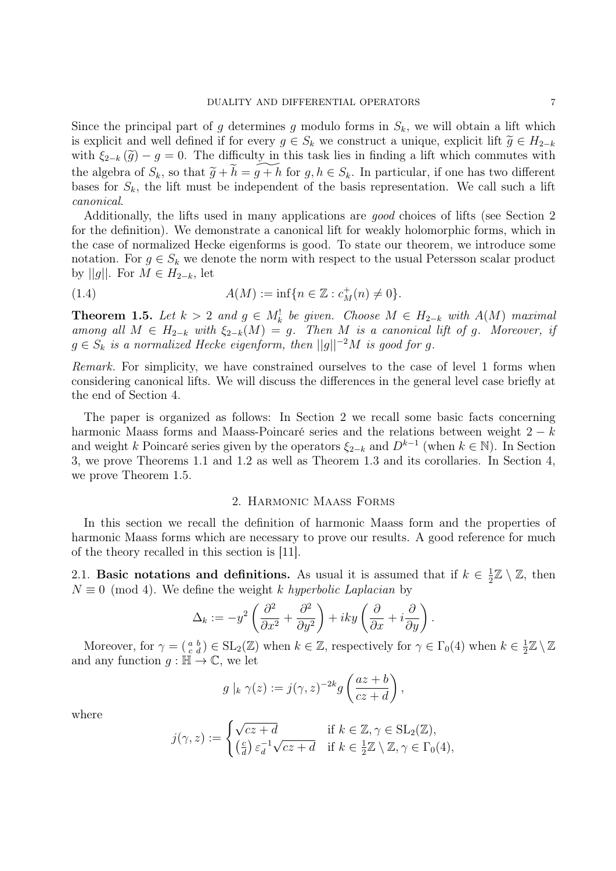Since the principal part of g determines g modulo forms in  $S_k$ , we will obtain a lift which is explicit and well defined if for every  $g \in S_k$  we construct a unique, explicit lift  $\tilde{g} \in H_{2-k}$ with  $\xi_{2-k}(\tilde{g}) - g = 0$ . The difficulty in this task lies in finding a lift which commutes with the algebra of  $S_k$ , so that  $\widetilde{g} + \widetilde{h} = \widetilde{g+h}$  for  $g, h \in S_k$ . In particular, if one has two different bases for  $S_k$ , the lift must be independent of the basis representation. We call such a lift canonical.

Additionally, the lifts used in many applications are good choices of lifts (see Section 2 for the definition). We demonstrate a canonical lift for weakly holomorphic forms, which in the case of normalized Hecke eigenforms is good. To state our theorem, we introduce some notation. For  $g \in S_k$  we denote the norm with respect to the usual Petersson scalar product by  $||g||$ . For  $M \in H_{2-k}$ , let

(1.4) 
$$
A(M) := \inf \{ n \in \mathbb{Z} : c_M^+(n) \neq 0 \}.
$$

**Theorem 1.5.** Let  $k > 2$  and  $g \in M_k^!$  be given. Choose  $M \in H_{2-k}$  with  $A(M)$  maximal among all  $M \in H_{2-k}$  with  $\xi_{2-k}(M) = g$ . Then M is a canonical lift of g. Moreover, if  $g \in S_k$  is a normalized Hecke eigenform, then  $||g||^{-2}M$  is good for g.

Remark. For simplicity, we have constrained ourselves to the case of level 1 forms when considering canonical lifts. We will discuss the differences in the general level case briefly at the end of Section 4.

The paper is organized as follows: In Section 2 we recall some basic facts concerning harmonic Maass forms and Maass-Poincaré series and the relations between weight  $2 - k$ and weight k Poincaré series given by the operators  $\xi_{2-k}$  and  $D^{k-1}$  (when  $k \in \mathbb{N}$ ). In Section 3, we prove Theorems 1.1 and 1.2 as well as Theorem 1.3 and its corollaries. In Section 4, we prove Theorem 1.5.

### 2. Harmonic Maass Forms

In this section we recall the definition of harmonic Maass form and the properties of harmonic Maass forms which are necessary to prove our results. A good reference for much of the theory recalled in this section is [11].

2.1. Basic notations and definitions. As usual it is assumed that if  $k \in \frac{1}{2}$  $\frac{1}{2}\mathbb{Z}\setminus\mathbb{Z}$ , then  $N \equiv 0 \pmod{4}$ . We define the weight k hyperbolic Laplacian by

$$
\Delta_k := -y^2 \left( \frac{\partial^2}{\partial x^2} + \frac{\partial^2}{\partial y^2} \right) + iky \left( \frac{\partial}{\partial x} + i \frac{\partial}{\partial y} \right).
$$

Moreover, for  $\gamma = \begin{pmatrix} a & b \\ c & d \end{pmatrix} \in SL_2(\mathbb{Z})$  when  $k \in \mathbb{Z}$ , respectively for  $\gamma \in \Gamma_0(4)$  when  $k \in \frac{1}{2}$  $\frac{1}{2}\mathbb{Z}\setminus\mathbb{Z}$ and any function  $g : \mathbb{H} \to \mathbb{C}$ , we let

$$
g\mid_k \gamma(z) := j(\gamma, z)^{-2k} g\left(\frac{az+b}{cz+d}\right),\,
$$

where

$$
j(\gamma, z) := \begin{cases} \sqrt{cz + d} & \text{if } k \in \mathbb{Z}, \gamma \in \text{SL}_2(\mathbb{Z}), \\ \left(\frac{c}{d}\right) \varepsilon_d^{-1} \sqrt{cz + d} & \text{if } k \in \frac{1}{2}\mathbb{Z} \setminus \mathbb{Z}, \gamma \in \Gamma_0(4), \end{cases}
$$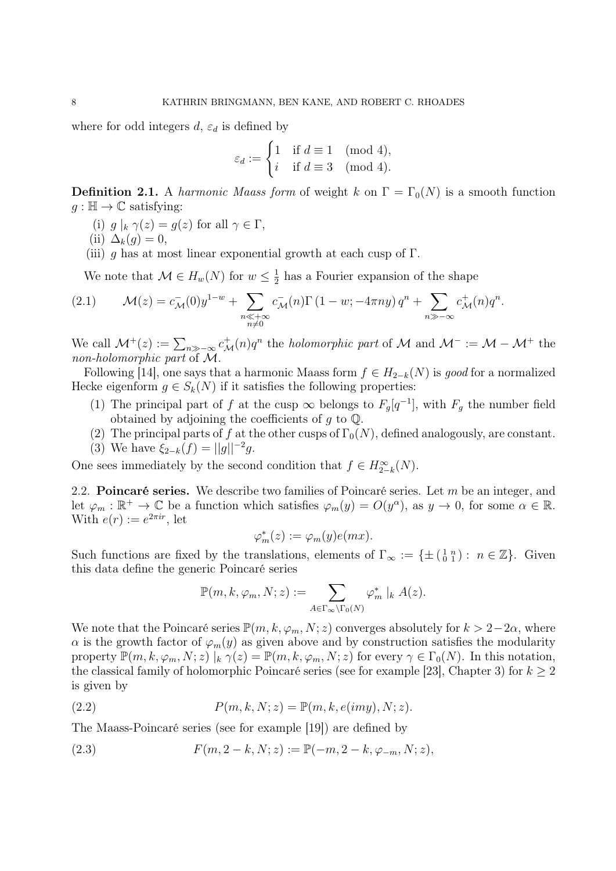where for odd integers  $d, \varepsilon_d$  is defined by

$$
\varepsilon_d := \begin{cases} 1 & \text{if } d \equiv 1 \pmod{4}, \\ i & \text{if } d \equiv 3 \pmod{4}. \end{cases}
$$

**Definition 2.1.** A harmonic Maass form of weight k on  $\Gamma = \Gamma_0(N)$  is a smooth function  $g : \mathbb{H} \to \mathbb{C}$  satisfying:

- (i)  $g \mid_k \gamma(z) = g(z)$  for all  $\gamma \in \Gamma$ ,
- (ii)  $\Delta_k(g) = 0$ ,
- (iii) g has at most linear exponential growth at each cusp of  $\Gamma$ .

We note that  $\mathcal{M} \in H_w(N)$  for  $w \leq \frac{1}{2}$  $\frac{1}{2}$  has a Fourier expansion of the shape

(2.1) 
$$
\mathcal{M}(z) = c_{\mathcal{M}}^-(0)y^{1-w} + \sum_{\substack{n \ll +\infty \\ n \neq 0}} c_{\mathcal{M}}^-(n) \Gamma(1-w; -4\pi ny) q^n + \sum_{n \gg -\infty} c_{\mathcal{M}}^+(n) q^n.
$$

We call  $\mathcal{M}^+(z) := \sum_{n \gg -\infty} c_{\mathcal{M}}^+(n) q^n$  the *holomorphic part* of  $\mathcal M$  and  $\mathcal M^- := \mathcal M - \mathcal M^+$  the non-holomorphic part of M.

Following [14], one says that a harmonic Maass form  $f \in H_{2-k}(N)$  is good for a normalized Hecke eigenform  $g \in S_k(N)$  if it satisfies the following properties:

- (1) The principal part of f at the cusp  $\infty$  belongs to  $F<sub>g</sub>[q^{-1}]$ , with  $F<sub>g</sub>$  the number field obtained by adjoining the coefficients of  $g$  to  $\mathbb{Q}$ .
- (2) The principal parts of f at the other cusps of  $\Gamma_0(N)$ , defined analogously, are constant.
- (3) We have  $\xi_{2-k}(f) = ||g||^{-2}g$ .

One sees immediately by the second condition that  $f \in H_{2-k}^{\infty}(N)$ .

2.2. **Poincaré series.** We describe two families of Poincaré series. Let  $m$  be an integer, and let  $\varphi_m : \mathbb{R}^+ \to \mathbb{C}$  be a function which satisfies  $\varphi_m(y) = O(y^{\alpha})$ , as  $y \to 0$ , for some  $\alpha \in \mathbb{R}$ . With  $e(r) := e^{2\pi i r}$ , let

$$
\varphi_m^*(z) := \varphi_m(y)e(mx).
$$

Such functions are fixed by the translations, elements of  $\Gamma_{\infty} := \{ \pm \begin{pmatrix} 1 & n \\ 0 & 1 \end{pmatrix} : n \in \mathbb{Z} \}$ . Given this data define the generic Poincaré series

$$
\mathbb{P}(m,k,\varphi_m,N;z) := \sum_{A \in \Gamma_\infty \backslash \Gamma_0(N)} \varphi_m^* \mid_k A(z).
$$

We note that the Poincaré series  $\mathbb{P}(m, k, \varphi_m, N; z)$  converges absolutely for  $k > 2-2\alpha$ , where  $\alpha$  is the growth factor of  $\varphi_m(y)$  as given above and by construction satisfies the modularity property  $\mathbb{P}(m, k, \varphi_m, N; z) \mid_k \gamma(z) = \mathbb{P}(m, k, \varphi_m, N; z)$  for every  $\gamma \in \Gamma_0(N)$ . In this notation, the classical family of holomorphic Poincaré series (see for example [23], Chapter 3) for  $k \geq 2$ is given by

(2.2) 
$$
P(m,k,N;z) = \mathbb{P}(m,k,e(imy),N;z).
$$

The Maass-Poincaré series (see for example [19]) are defined by

(2.3) 
$$
F(m, 2-k, N; z) := \mathbb{P}(-m, 2-k, \varphi_{-m}, N; z),
$$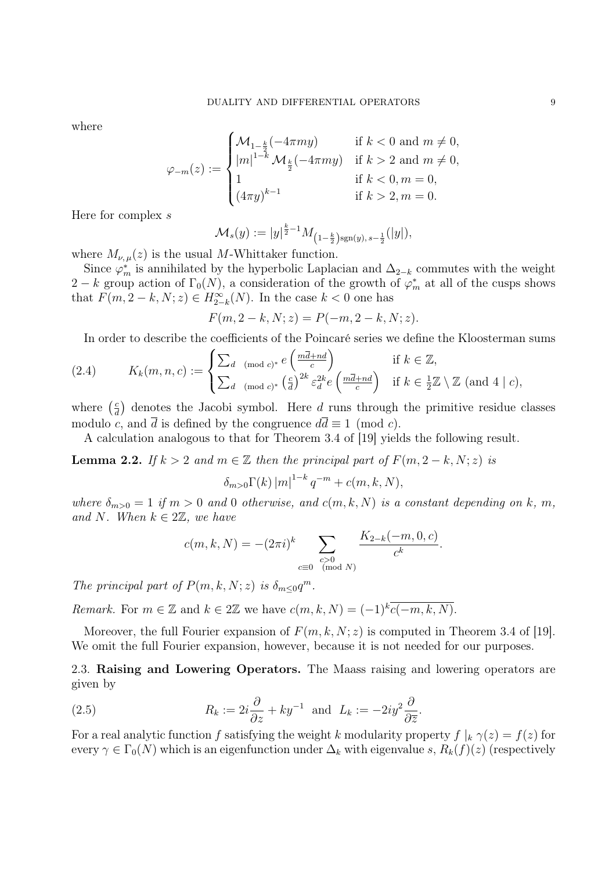where

$$
\varphi_{-m}(z) := \begin{cases} \mathcal{M}_{1-\frac{k}{2}}(-4\pi my) & \text{if } k < 0 \text{ and } m \neq 0, \\ |m|^{1-k} \mathcal{M}_{\frac{k}{2}}(-4\pi my) & \text{if } k > 2 \text{ and } m \neq 0, \\ 1 & \text{if } k < 0, m = 0, \\ (4\pi y)^{k-1} & \text{if } k > 2, m = 0. \end{cases}
$$

Here for complex s

$$
\mathcal{M}_s(y) := |y|^{\frac{k}{2}-1} M_{\left(1-\frac{k}{2}\right) \text{sgn}(y), s-\frac{1}{2}}(|y|),
$$

where  $M_{\nu,\mu}(z)$  is the usual M-Whittaker function.

Since  $\varphi_m^*$  is annihilated by the hyperbolic Laplacian and  $\Delta_{2-k}$  commutes with the weight 2 – k group action of  $\Gamma_0(N)$ , a consideration of the growth of  $\varphi_m^*$  at all of the cusps shows that  $F(m, 2-k, N; z) \in H_{2-k}^{\infty}(N)$ . In the case  $k < 0$  one has

$$
F(m, 2 - k, N; z) = P(-m, 2 - k, N; z).
$$

In order to describe the coefficients of the Poincaré series we define the Kloosterman sums

(2.4) 
$$
K_k(m, n, c) := \begin{cases} \sum_{d \pmod{c}} e\left(\frac{m\overline{d} + nd}{c}\right) & \text{if } k \in \mathbb{Z}, \\ \sum_{d \pmod{c}} e\left(\frac{c}{d}\right)^{2k} \varepsilon_d^{2k} e\left(\frac{m\overline{d} + nd}{c}\right) & \text{if } k \in \frac{1}{2}\mathbb{Z} \setminus \mathbb{Z} \text{ (and 4 | } c), \end{cases}
$$

where  $\left(\frac{c}{d}\right)$  $\frac{c}{d}$  denotes the Jacobi symbol. Here d runs through the primitive residue classes modulo c, and  $\overline{d}$  is defined by the congruence  $d\overline{d} \equiv 1 \pmod{c}$ .

A calculation analogous to that for Theorem 3.4 of [19] yields the following result.

**Lemma 2.2.** If  $k > 2$  and  $m \in \mathbb{Z}$  then the principal part of  $F(m, 2-k, N; z)$  is

$$
\delta_{m>0}\Gamma(k) |m|^{1-k} q^{-m} + c(m,k,N),
$$

where  $\delta_{m>0} = 1$  if  $m > 0$  and 0 otherwise, and  $c(m, k, N)$  is a constant depending on k, m, and N. When  $k \in 2\mathbb{Z}$ , we have

$$
c(m, k, N) = -(2\pi i)^{k} \sum_{\substack{c>0\\c \equiv 0 \pmod{N}}} \frac{K_{2-k}(-m, 0, c)}{c^{k}}.
$$

The principal part of  $P(m, k, N; z)$  is  $\delta_{m \leq 0} q^m$ .

Remark. For  $m \in \mathbb{Z}$  and  $k \in 2\mathbb{Z}$  we have  $c(m, k, N) = (-1)^k \overline{c(-m, k, N)}$ .

Moreover, the full Fourier expansion of  $F(m, k, N; z)$  is computed in Theorem 3.4 of [19]. We omit the full Fourier expansion, however, because it is not needed for our purposes.

2.3. Raising and Lowering Operators. The Maass raising and lowering operators are given by

(2.5) 
$$
R_k := 2i\frac{\partial}{\partial z} + ky^{-1} \text{ and } L_k := -2iy^2\frac{\partial}{\partial \overline{z}}.
$$

For a real analytic function f satisfying the weight k modularity property  $f|_k \gamma(z) = f(z)$  for every  $\gamma \in \Gamma_0(N)$  which is an eigenfunction under  $\Delta_k$  with eigenvalue s,  $R_k(f)(z)$  (respectively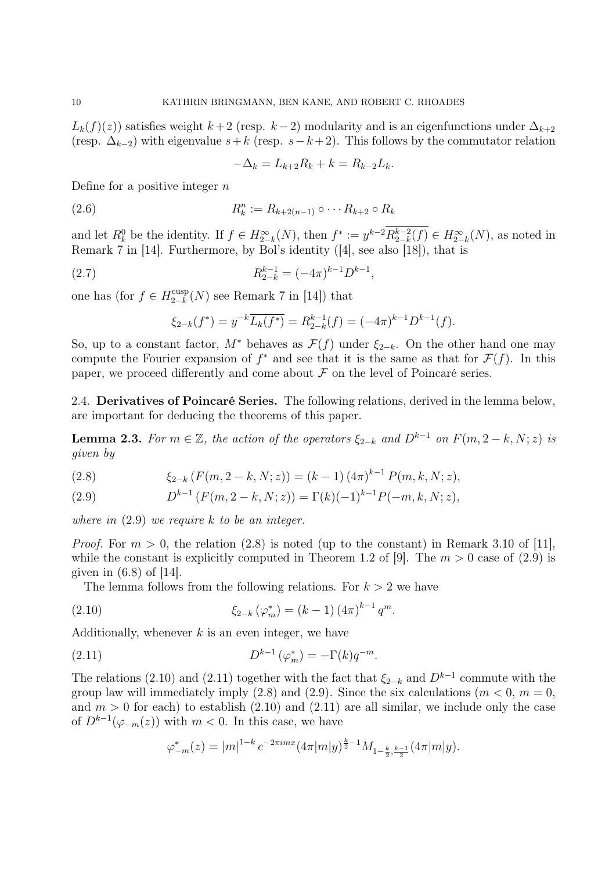$L_k(f)(z)$ ) satisfies weight  $k+2$  (resp.  $k-2$ ) modularity and is an eigenfunctions under  $\Delta_{k+2}$ (resp.  $\Delta_{k-2}$ ) with eigenvalue  $s+k$  (resp.  $s-k+2$ ). This follows by the commutator relation

$$
-\Delta_k = L_{k+2}R_k + k = R_{k-2}L_k.
$$

Define for a positive integer  $n$ 

(2.6) 
$$
R_k^n := R_{k+2(n-1)} \circ \cdots R_{k+2} \circ R_k
$$

and let  $R_k^0$  be the identity. If  $f \in H_{2-k}^{\infty}(N)$ , then  $f^* := y^{k-2} R_{2-k}^{k-2}$  $a_{2-k}^{k-2}(f) \in H_{2-k}^{\infty}(N)$ , as noted in Remark 7 in [14]. Furthermore, by Bol's identity ([4], see also [18]), that is

(2.7) 
$$
R_{2-k}^{k-1} = (-4\pi)^{k-1} D^{k-1},
$$

one has (for  $f \in H_{2-k}^{\text{cusp}}$  $\frac{\text{cusp}}{2-k}(N)$  see Remark 7 in [14]) that

$$
\xi_{2-k}(f^*) = y^{-k} \overline{L_k(f^*)} = R_{2-k}^{k-1}(f) = (-4\pi)^{k-1} D^{k-1}(f).
$$

So, up to a constant factor,  $M^*$  behaves as  $\mathcal{F}(f)$  under  $\xi_{2-k}$ . On the other hand one may compute the Fourier expansion of  $f^*$  and see that it is the same as that for  $\mathcal{F}(f)$ . In this paper, we proceed differently and come about  $\mathcal F$  on the level of Poincaré series.

2.4. Derivatives of Poincaré Series. The following relations, derived in the lemma below, are important for deducing the theorems of this paper.

**Lemma 2.3.** For  $m \in \mathbb{Z}$ , the action of the operators  $\xi_{2-k}$  and  $D^{k-1}$  on  $F(m, 2-k, N; z)$  is given by

(2.8) 
$$
\xi_{2-k}(F(m,2-k,N;z)) = (k-1) (4\pi)^{k-1} P(m,k,N;z),
$$

(2.9) 
$$
D^{k-1} (F(m, 2-k, N; z)) = \Gamma(k)(-1)^{k-1} P(-m, k, N; z),
$$

where in  $(2.9)$  we require k to be an integer.

*Proof.* For  $m > 0$ , the relation (2.8) is noted (up to the constant) in Remark 3.10 of [11], while the constant is explicitly computed in Theorem 1.2 of [9]. The  $m > 0$  case of (2.9) is given in  $(6.8)$  of [14].

The lemma follows from the following relations. For  $k > 2$  we have

(2.10) 
$$
\xi_{2-k}(\varphi_m^*) = (k-1) (4\pi)^{k-1} q^m.
$$

Additionally, whenever  $k$  is an even integer, we have

(2.11) 
$$
D^{k-1}(\varphi_m^*) = -\Gamma(k)q^{-m}.
$$

The relations (2.10) and (2.11) together with the fact that  $\xi_{2-k}$  and  $D^{k-1}$  commute with the group law will immediately imply (2.8) and (2.9). Since the six calculations ( $m < 0$ ,  $m = 0$ . and  $m > 0$  for each) to establish (2.10) and (2.11) are all similar, we include only the case of  $D^{k-1}(\varphi_{-m}(z))$  with  $m < 0$ . In this case, we have

$$
\varphi_{-m}^*(z) = |m|^{1-k} e^{-2\pi imz} (4\pi |m|y)^{\frac{k}{2}-1} M_{1-\frac{k}{2},\frac{k-1}{2}} (4\pi |m|y).
$$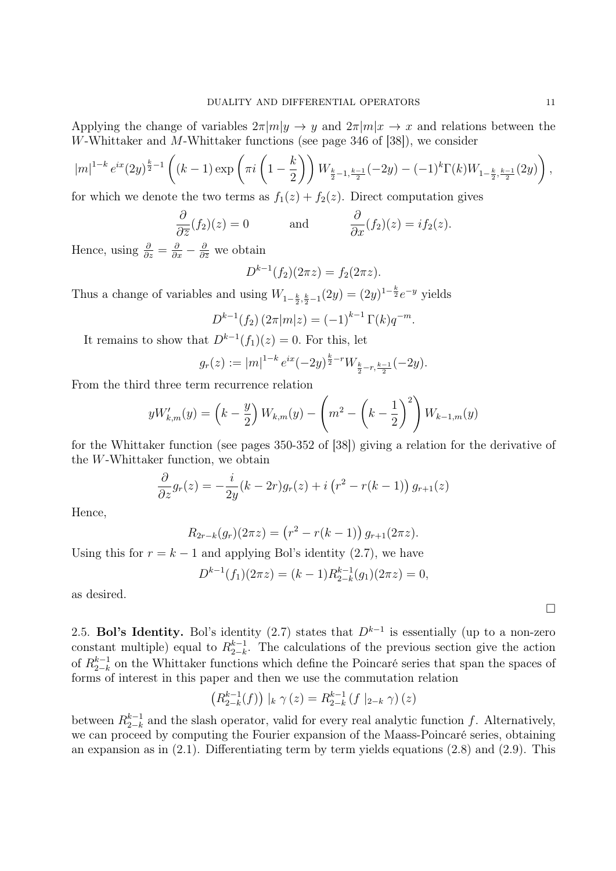Applying the change of variables  $2\pi |m|y \to y$  and  $2\pi |m|x \to x$  and relations between the W-Whittaker and M-Whittaker functions (see page 346 of [38]), we consider

$$
|m|^{1-k}e^{ix}(2y)^{\frac{k}{2}-1}\left((k-1)\exp\left(\pi i\left(1-\frac{k}{2}\right)\right)W_{\frac{k}{2}-1,\frac{k-1}{2}}(-2y)-(-1)^{k}\Gamma(k)W_{1-\frac{k}{2},\frac{k-1}{2}}(2y)\right),
$$
for which we denote the two terms of  $f(x) + f(x)$ . Direct computation gives

for which we denote the two terms as  $f_1(z) + f_2(z)$ . Direct computation gives

$$
\frac{\partial}{\partial \overline{z}}(f_2)(z) = 0
$$
 and  $\frac{\partial}{\partial x}(f_2)(z) = i f_2(z).$ 

Hence, using  $\frac{\partial}{\partial z} = \frac{\partial}{\partial x} - \frac{\partial}{\partial \overline{z}}$  we obtain

$$
D^{k-1}(f_2)(2\pi z) = f_2(2\pi z).
$$

Thus a change of variables and using  $W_{1-\frac{k}{2},\frac{k}{2}-1}(2y) = (2y)^{1-\frac{k}{2}}e^{-y}$  yields

$$
D^{k-1}(f_2) (2\pi |m|z) = (-1)^{k-1} \Gamma(k) q^{-m}.
$$

It remains to show that  $D^{k-1}(f_1)(z) = 0$ . For this, let

$$
g_r(z) := |m|^{1-k} e^{ix} (-2y)^{\frac{k}{2}-r} W_{\frac{k}{2}-r,\frac{k-1}{2}}(-2y).
$$

From the third three term recurrence relation

$$
yW'_{k,m}(y) = \left(k - \frac{y}{2}\right)W_{k,m}(y) - \left(m^2 - \left(k - \frac{1}{2}\right)^2\right)W_{k-1,m}(y)
$$

for the Whittaker function (see pages 350-352 of [38]) giving a relation for the derivative of the W-Whittaker function, we obtain

$$
\frac{\partial}{\partial z}g_r(z) = -\frac{i}{2y}(k-2r)g_r(z) + i\left(r^2 - r(k-1)\right)g_{r+1}(z)
$$

Hence,

$$
R_{2r-k}(g_r)(2\pi z) = (r^2 - r(k-1)) g_{r+1}(2\pi z).
$$

Using this for  $r = k - 1$  and applying Bol's identity (2.7), we have

$$
D^{k-1}(f_1)(2\pi z) = (k-1)R_{2-k}^{k-1}(g_1)(2\pi z) = 0,
$$

as desired.

2.5. Bol's Identity. Bol's identity (2.7) states that  $D^{k-1}$  is essentially (up to a non-zero constant multiple) equal to  $R_{2-k}^{k-1}$  $_{2-k}^{k-1}$ . The calculations of the previous section give the action of  $R_{2-k}^{k-1}$  $_{2-k}^{k-1}$  on the Whittaker functions which define the Poincaré series that span the spaces of forms of interest in this paper and then we use the commutation relation

$$
(R_{2-k}^{k-1}(f)) |_{k} \gamma(z) = R_{2-k}^{k-1} (f |_{2-k} \gamma)(z)
$$

between  $R_{2-k}^{k-1}$  $_{2-k}^{k-1}$  and the slash operator, valid for every real analytic function f. Alternatively, we can proceed by computing the Fourier expansion of the Maass-Poincaré series, obtaining an expansion as in  $(2.1)$ . Differentiating term by term yields equations  $(2.8)$  and  $(2.9)$ . This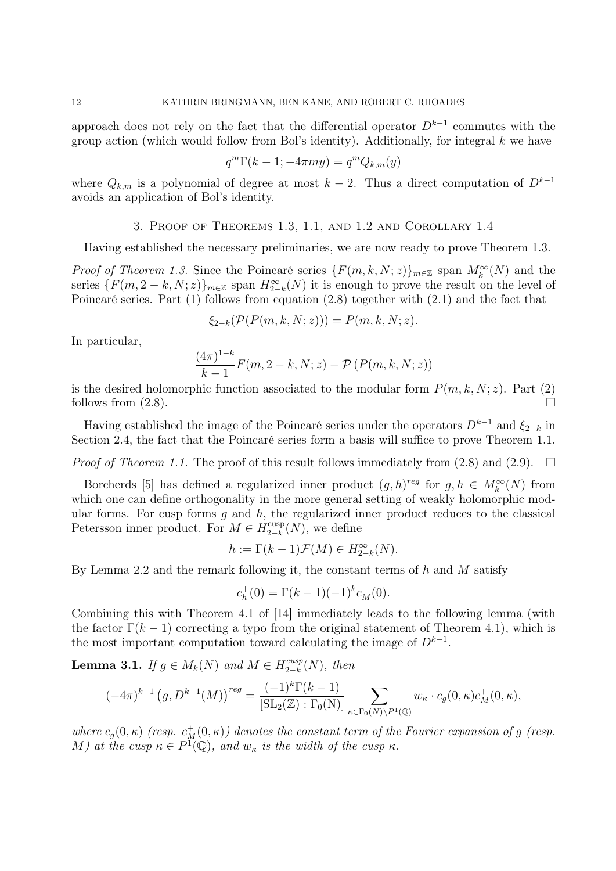approach does not rely on the fact that the differential operator  $D^{k-1}$  commutes with the group action (which would follow from Bol's identity). Additionally, for integral  $k$  we have

$$
q^m \Gamma(k-1; -4\pi my) = \overline{q}^m Q_{k,m}(y)
$$

where  $Q_{k,m}$  is a polynomial of degree at most  $k-2$ . Thus a direct computation of  $D^{k-1}$ avoids an application of Bol's identity.

3. Proof of Theorems 1.3, 1.1, and 1.2 and Corollary 1.4

Having established the necessary preliminaries, we are now ready to prove Theorem 1.3.

*Proof of Theorem 1.3.* Since the Poincaré series  $\{F(m, k, N; z)\}_{m \in \mathbb{Z}}$  span  $M_k^{\infty}(N)$  and the series  $\{F(m, 2-k, N; z)\}_{m\in\mathbb{Z}}$  span  $H_{2-k}^{\infty}(N)$  it is enough to prove the result on the level of Poincaré series. Part (1) follows from equation (2.8) together with (2.1) and the fact that

$$
\xi_{2-k}(\mathcal{P}(P(m,k,N;z))) = P(m,k,N;z).
$$

In particular,

$$
\frac{(4\pi)^{1-k}}{k-1}F(m,2-k,N;z) - \mathcal{P}\left(P(m,k,N;z)\right)
$$

is the desired holomorphic function associated to the modular form  $P(m, k, N; z)$ . Part (2) follows from  $(2.8)$ .

Having established the image of the Poincaré series under the operators  $D^{k-1}$  and  $\xi_{2-k}$  in Section 2.4, the fact that the Poincaré series form a basis will suffice to prove Theorem 1.1.

*Proof of Theorem 1.1.* The proof of this result follows immediately from  $(2.8)$  and  $(2.9)$ .  $\Box$ 

Borcherds [5] has defined a regularized inner product  $(g,h)^{reg}$  for  $g,h \in M_k^{\infty}(N)$  from which one can define orthogonality in the more general setting of weakly holomorphic modular forms. For cusp forms  $g$  and  $h$ , the regularized inner product reduces to the classical Petersson inner product. For  $M \in H_{2-k}^{\text{cusp}}$  $\binom{cusp}{2-k}(N)$ , we define

$$
h:=\Gamma(k-1)\mathcal{F}(M)\in H_{2-k}^{\infty}(N).
$$

By Lemma 2.2 and the remark following it, the constant terms of  $h$  and  $M$  satisfy

$$
c_h^+(0) = \Gamma(k-1)(-1)^k \overline{c_M^+(0)}.
$$

Combining this with Theorem 4.1 of [14] immediately leads to the following lemma (with the factor  $\Gamma(k-1)$  correcting a typo from the original statement of Theorem 4.1), which is the most important computation toward calculating the image of  $D^{k-1}$ .

**Lemma 3.1.** If  $g \in M_k(N)$  and  $M \in H_{2-k}^{cusp}$  $\frac{cusp}{2-k}(N)$ , then

$$
(-4\pi)^{k-1} (g, D^{k-1}(M))^{reg} = \frac{(-1)^k \Gamma(k-1)}{[\text{SL}_2(\mathbb{Z}) : \Gamma_0(N)]} \sum_{\kappa \in \Gamma_0(N) \backslash P^1(\mathbb{Q})} w_{\kappa} \cdot c_g(0, \kappa) \overline{c_M^+(0, \kappa)},
$$

where  $c_g(0, \kappa)$  (resp.  $c_M^+(0, \kappa)$ ) denotes the constant term of the Fourier expansion of g (resp. M) at the cusp  $\kappa \in P^1(\mathbb{Q})$ , and  $w_{\kappa}$  is the width of the cusp  $\kappa$ .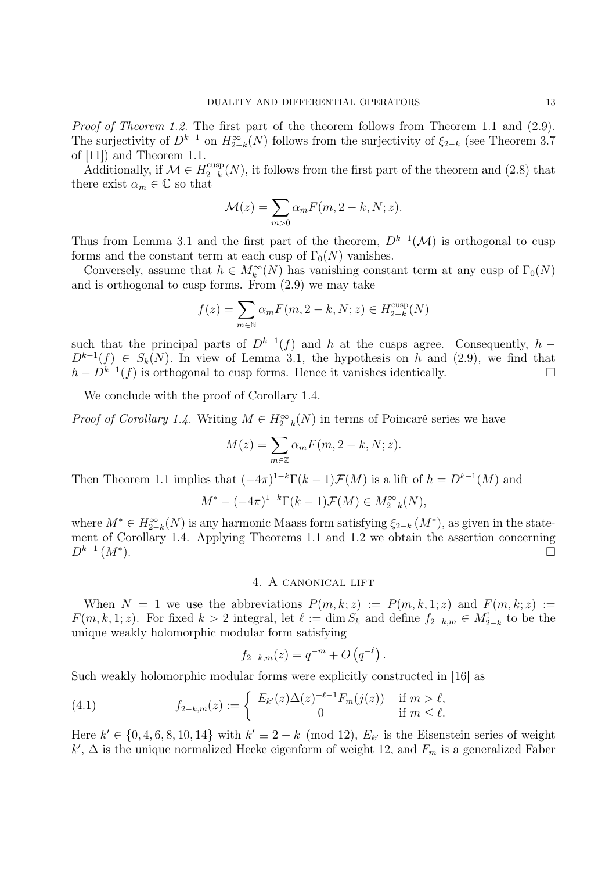Proof of Theorem 1.2. The first part of the theorem follows from Theorem 1.1 and (2.9). The surjectivity of  $D^{k-1}$  on  $H_{2-k}^{\infty}(N)$  follows from the surjectivity of  $\xi_{2-k}$  (see Theorem 3.7) of [11]) and Theorem 1.1.

Additionally, if  $\mathcal{M} \in H_{2-k}^{\text{cusp}}$  $\frac{1}{2-k}(N)$ , it follows from the first part of the theorem and (2.8) that there exist  $\alpha_m \in \mathbb{C}$  so that

$$
\mathcal{M}(z) = \sum_{m>0} \alpha_m F(m, 2-k, N; z).
$$

Thus from Lemma 3.1 and the first part of the theorem,  $D^{k-1}(\mathcal{M})$  is orthogonal to cusp forms and the constant term at each cusp of  $\Gamma_0(N)$  vanishes.

Conversely, assume that  $h \in M_k^{\infty}(N)$  has vanishing constant term at any cusp of  $\Gamma_0(N)$ and is orthogonal to cusp forms. From (2.9) we may take

$$
f(z) = \sum_{m \in \mathbb{N}} \alpha_m F(m, 2 - k, N; z) \in H_{2-k}^{\text{cusp}}(N)
$$

such that the principal parts of  $D^{k-1}(f)$  and h at the cusps agree. Consequently, h –  $D^{k-1}(f) \in S_k(N)$ . In view of Lemma 3.1, the hypothesis on h and (2.9), we find that  $h - D^{k-1}(f)$  is orthogonal to cusp forms. Hence it vanishes identically.

We conclude with the proof of Corollary 1.4.

*Proof of Corollary 1.4.* Writing  $M \in H_{2-k}^{\infty}(N)$  in terms of Poincaré series we have

$$
M(z) = \sum_{m \in \mathbb{Z}} \alpha_m F(m, 2 - k, N; z).
$$

Then Theorem 1.1 implies that  $(-4\pi)^{1-k}\Gamma(k-1)\mathcal{F}(M)$  is a lift of  $h=D^{k-1}(M)$  and

$$
M^* - (-4\pi)^{1-k} \Gamma(k-1) \mathcal{F}(M) \in M_{2-k}^{\infty}(N),
$$

where  $M^* \in H_{2-k}^{\infty}(N)$  is any harmonic Maass form satisfying  $\xi_{2-k}(M^*)$ , as given in the statement of Corollary 1.4. Applying Theorems 1.1 and 1.2 we obtain the assertion concerning  $D^{k-1}$   $(M^*$ ).  $\Box$ 

## 4. A canonical lift

When  $N = 1$  we use the abbreviations  $P(m, k; z) := P(m, k, 1; z)$  and  $F(m, k; z) :=$  $F(m, k, 1; z)$ . For fixed  $k > 2$  integral, let  $\ell := \dim S_k$  and define  $f_{2-k,m} \in M_{2-k}^{\perp}$  to be the unique weakly holomorphic modular form satisfying

$$
f_{2-k,m}(z) = q^{-m} + O(q^{-\ell}).
$$

Such weakly holomorphic modular forms were explicitly constructed in [16] as

(4.1) 
$$
f_{2-k,m}(z) := \begin{cases} E_{k'}(z) \Delta(z)^{-\ell-1} F_m(j(z)) & \text{if } m > \ell, \\ 0 & \text{if } m \leq \ell. \end{cases}
$$

Here  $k' \in \{0, 4, 6, 8, 10, 14\}$  with  $k' \equiv 2 - k \pmod{12}$ ,  $E_{k'}$  is the Eisenstein series of weight  $k'$ ,  $\Delta$  is the unique normalized Hecke eigenform of weight 12, and  $F_m$  is a generalized Faber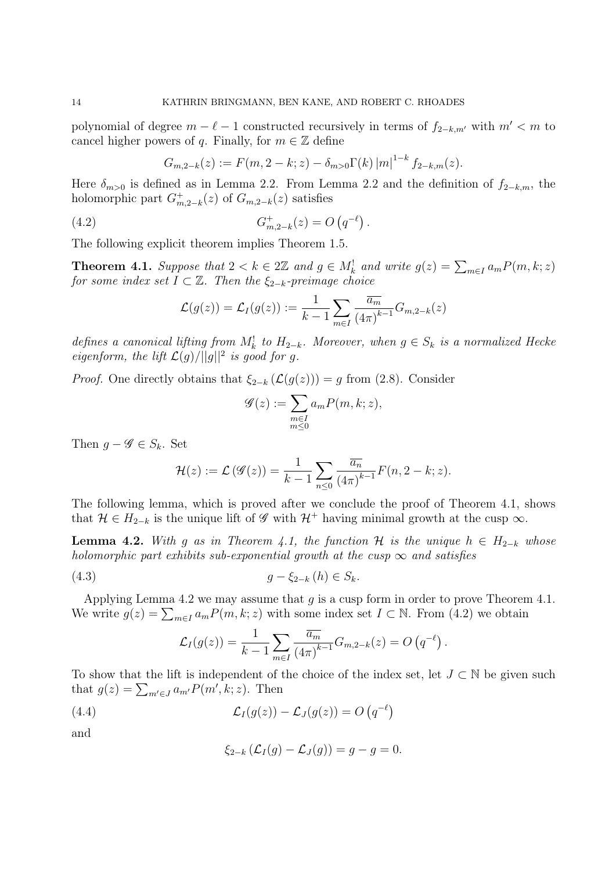polynomial of degree  $m - \ell - 1$  constructed recursively in terms of  $f_{2-k,m'}$  with  $m' < m$  to cancel higher powers of q. Finally, for  $m \in \mathbb{Z}$  define

$$
G_{m,2-k}(z) := F(m,2-k;z) - \delta_{m>0} \Gamma(k) |m|^{1-k} f_{2-k,m}(z).
$$

Here  $\delta_{m>0}$  is defined as in Lemma 2.2. From Lemma 2.2 and the definition of  $f_{2-k,m}$ , the holomorphic part  $G_m^+$  $^+_{m,2-k}(z)$  of  $G_{m,2-k}(z)$  satisfies

(4.2) 
$$
G_{m,2-k}^{+}(z) = O(q^{-\ell}).
$$

The following explicit theorem implies Theorem 1.5.

**Theorem 4.1.** Suppose that  $2 < k \in 2\mathbb{Z}$  and  $g \in M_k^!$  and write  $g(z) = \sum_{m \in I} a_m P(m, k; z)$ for some index set  $I \subset \mathbb{Z}$ . Then the  $\xi_{2-k}$ -preimage choice

$$
\mathcal{L}(g(z)) = \mathcal{L}_I(g(z)) := \frac{1}{k-1} \sum_{m \in I} \frac{\overline{a_m}}{(4\pi)^{k-1}} G_{m,2-k}(z)
$$

defines a canonical lifting from  $M_k^!$  to  $H_{2-k}$ . Moreover, when  $g \in S_k$  is a normalized Hecke eigenform, the lift  $\mathcal{L}(g)/||g||^2$  is good for g.

*Proof.* One directly obtains that  $\xi_{2-k} (\mathcal{L}(g(z))) = g$  from (2.8). Consider

$$
\mathcal{G}(z) := \sum_{\substack{m \in I \\ m \le 0}} a_m P(m, k; z),
$$

Then  $g - \mathscr{G} \in S_k$ . Set

$$
\mathcal{H}(z) := \mathcal{L}(\mathscr{G}(z)) = \frac{1}{k-1} \sum_{n \leq 0} \frac{\overline{a_n}}{(4\pi)^{k-1}} F(n, 2-k; z).
$$

The following lemma, which is proved after we conclude the proof of Theorem 4.1, shows that  $\mathcal{H} \in H_{2-k}$  is the unique lift of  $\mathscr G$  with  $\mathcal{H}^+$  having minimal growth at the cusp  $\infty$ .

**Lemma 4.2.** With g as in Theorem 4.1, the function H is the unique  $h \in H_{2-k}$  whose holomorphic part exhibits sub-exponential growth at the cusp  $\infty$  and satisfies

(4.3) 
$$
g - \xi_{2-k}(h) \in S_k.
$$

Applying Lemma 4.2 we may assume that  $g$  is a cusp form in order to prove Theorem 4.1. We write  $g(z) = \sum_{m \in I} a_m P(m, k; z)$  with some index set  $I \subset \mathbb{N}$ . From (4.2) we obtain

$$
\mathcal{L}_I(g(z)) = \frac{1}{k-1} \sum_{m \in I} \frac{\overline{a_m}}{(4\pi)^{k-1}} G_{m,2-k}(z) = O\left(q^{-\ell}\right).
$$

To show that the lift is independent of the choice of the index set, let  $J \subset \mathbb{N}$  be given such that  $g(z) = \sum_{m' \in J} a_{m'} P(m', k; z)$ . Then

(4.4) 
$$
\mathcal{L}_I(g(z)) - \mathcal{L}_J(g(z)) = O\left(q^{-\ell}\right)
$$

and

$$
\xi_{2-k}(\mathcal{L}_I(g)-\mathcal{L}_J(g))=g-g=0.
$$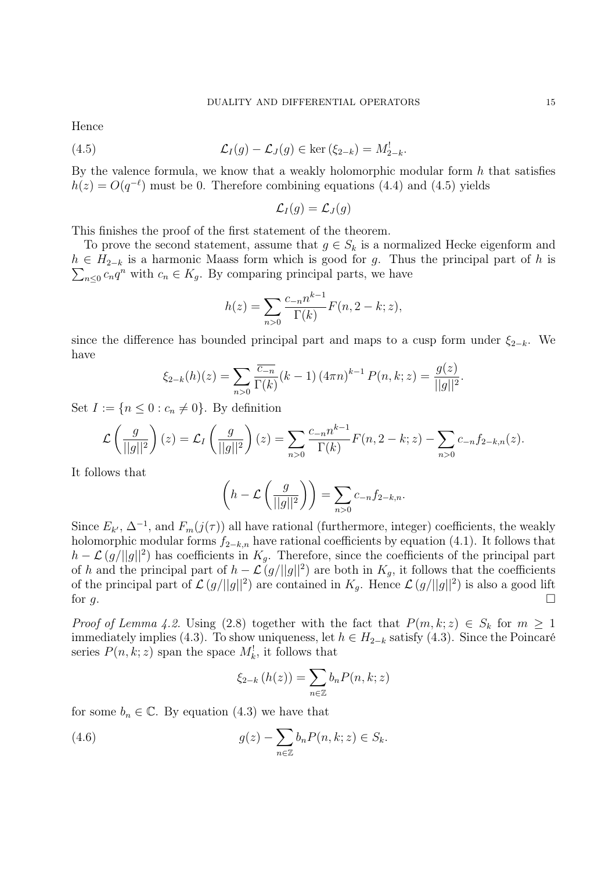Hence

(4.5) 
$$
\mathcal{L}_I(g) - \mathcal{L}_J(g) \in \ker\left(\xi_{2-k}\right) = M_{2-k}^!
$$

By the valence formula, we know that a weakly holomorphic modular form  $h$  that satisfies  $h(z) = O(q^{-\ell})$  must be 0. Therefore combining equations (4.4) and (4.5) yields

$$
\mathcal{L}_I(g) = \mathcal{L}_J(g)
$$

This finishes the proof of the first statement of the theorem.

To prove the second statement, assume that  $g \in S_k$  is a normalized Hecke eigenform and  $\sum_{n\leq 0} c_n q^n$  with  $c_n \in K_g$ . By comparing principal parts, we have  $h \in H_{2-k}$  is a harmonic Maass form which is good for g. Thus the principal part of h is

$$
h(z) = \sum_{n>0} \frac{c_{-n} n^{k-1}}{\Gamma(k)} F(n, 2-k; z),
$$

since the difference has bounded principal part and maps to a cusp form under  $\xi_{2-k}$ . We have

$$
\xi_{2-k}(h)(z) = \sum_{n>0} \frac{\overline{c_{-n}}}{\Gamma(k)} (k-1) (4\pi n)^{k-1} P(n,k;z) = \frac{g(z)}{||g||^2}.
$$

Set  $I := \{n \leq 0 : c_n \neq 0\}$ . By definition

$$
\mathcal{L}\left(\frac{g}{||g||^2}\right)(z) = \mathcal{L}_I\left(\frac{g}{||g||^2}\right)(z) = \sum_{n>0} \frac{c_{-n}n^{k-1}}{\Gamma(k)} F(n, 2-k; z) - \sum_{n>0} c_{-n} f_{2-k,n}(z).
$$

It follows that

$$
\left(h - \mathcal{L}\left(\frac{g}{||g||^2}\right)\right) = \sum_{n>0} c_{-n} f_{2-k,n}.
$$

Since  $E_{k'}$ ,  $\Delta^{-1}$ , and  $F_m(j(\tau))$  all have rational (furthermore, integer) coefficients, the weakly holomorphic modular forms  $f_{2-k,n}$  have rational coefficients by equation (4.1). It follows that  $h - \mathcal{L}(g/||g||^2)$  has coefficients in  $K_g$ . Therefore, since the coefficients of the principal part of h and the principal part of  $h - \mathcal{L}(g/||g||^2)$  are both in  $K_g$ , it follows that the coefficients of the principal part of  $\mathcal{L}(g/||g||^2)$  are contained in  $K_g$ . Hence  $\mathcal{L}(g/||g||^2)$  is also a good lift for  $g$ .

*Proof of Lemma 4.2.* Using (2.8) together with the fact that  $P(m, k; z) \in S_k$  for  $m \ge 1$ immediately implies (4.3). To show uniqueness, let  $h \in H_{2-k}$  satisfy (4.3). Since the Poincaré series  $P(n, k; z)$  span the space  $M_k^!$ , it follows that

$$
\xi_{2-k}(h(z)) = \sum_{n \in \mathbb{Z}} b_n P(n,k;z)
$$

for some  $b_n \in \mathbb{C}$ . By equation (4.3) we have that

(4.6) 
$$
g(z) - \sum_{n \in \mathbb{Z}} b_n P(n,k;z) \in S_k.
$$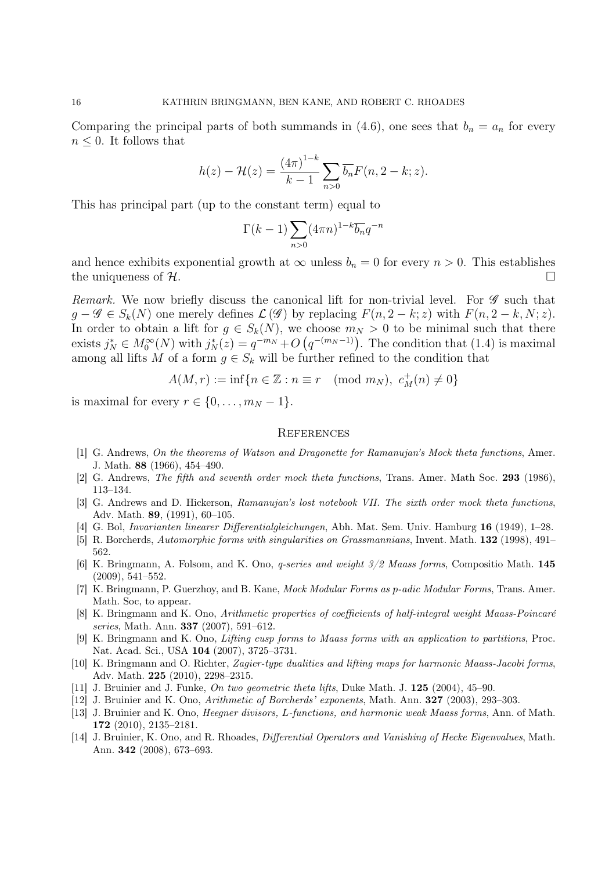Comparing the principal parts of both summands in (4.6), one sees that  $b_n = a_n$  for every  $n \leq 0$ . It follows that

$$
h(z) - \mathcal{H}(z) = \frac{(4\pi)^{1-k}}{k-1} \sum_{n>0} \overline{b_n} F(n, 2-k; z).
$$

This has principal part (up to the constant term) equal to

$$
\Gamma(k-1) \sum_{n>0} (4\pi n)^{1-k} \overline{b_n} q^{-n}
$$

and hence exhibits exponential growth at  $\infty$  unless  $b_n = 0$  for every  $n > 0$ . This establishes the uniqueness of  $\mathcal{H}$ .

Remark. We now briefly discuss the canonical lift for non-trivial level. For  $\mathscr G$  such that  $q - \mathscr{G} \in S_k(N)$  one merely defines  $\mathcal{L}(\mathscr{G})$  by replacing  $F(n, 2-k; z)$  with  $F(n, 2-k, N; z)$ . In order to obtain a lift for  $g \in S_k(N)$ , we choose  $m_N > 0$  to be minimal such that there exists  $j_N^* \in M_0^{\infty}(N)$  with  $j_N^*(z) = q^{-m_N} + O(q^{-(m_N-1)})$ . The condition that (1.4) is maximal among all lifts M of a form  $g \in S_k$  will be further refined to the condition that

$$
A(M,r) := \inf\{n \in \mathbb{Z} : n \equiv r \pmod{m_N}, \ c_M^+(n) \neq 0\}
$$

is maximal for every  $r \in \{0, \ldots, m_N - 1\}.$ 

#### **REFERENCES**

- [1] G. Andrews, On the theorems of Watson and Dragonette for Ramanujan's Mock theta functions. Amer. J. Math. 88 (1966), 454–490.
- [2] G. Andrews, The fifth and seventh order mock theta functions, Trans. Amer. Math Soc. 293 (1986), 113–134.
- [3] G. Andrews and D. Hickerson, Ramanujan's lost notebook VII. The sixth order mock theta functions, Adv. Math. 89, (1991), 60–105.
- [4] G. Bol, Invarianten linearer Differentialgleichungen, Abh. Mat. Sem. Univ. Hamburg 16 (1949), 1–28.
- [5] R. Borcherds, Automorphic forms with singularities on Grassmannians, Invent. Math. 132 (1998), 491– 562.
- [6] K. Bringmann, A. Folsom, and K. Ono, q-series and weight 3/2 Maass forms, Compositio Math. 145 (2009), 541–552.
- [7] K. Bringmann, P. Guerzhoy, and B. Kane, *Mock Modular Forms as p-adic Modular Forms*, Trans. Amer. Math. Soc, to appear.
- [8] K. Bringmann and K. Ono, Arithmetic properties of coefficients of half-integral weight Maass-Poincaré series, Math. Ann. **337** (2007), 591-612.
- [9] K. Bringmann and K. Ono, Lifting cusp forms to Maass forms with an application to partitions, Proc. Nat. Acad. Sci., USA 104 (2007), 3725–3731.
- [10] K. Bringmann and O. Richter, Zagier-type dualities and lifting maps for harmonic Maass-Jacobi forms, Adv. Math. 225 (2010), 2298–2315.
- [11] J. Bruinier and J. Funke, On two geometric theta lifts, Duke Math. J. 125 (2004), 45–90.
- [12] J. Bruinier and K. Ono, Arithmetic of Borcherds' exponents, Math. Ann. 327 (2003), 293–303.
- [13] J. Bruinier and K. Ono, Heegner divisors, L-functions, and harmonic weak Maass forms, Ann. of Math. 172 (2010), 2135–2181.
- [14] J. Bruinier, K. Ono, and R. Rhoades, *Differential Operators and Vanishing of Hecke Eigenvalues*, Math. Ann. 342 (2008), 673–693.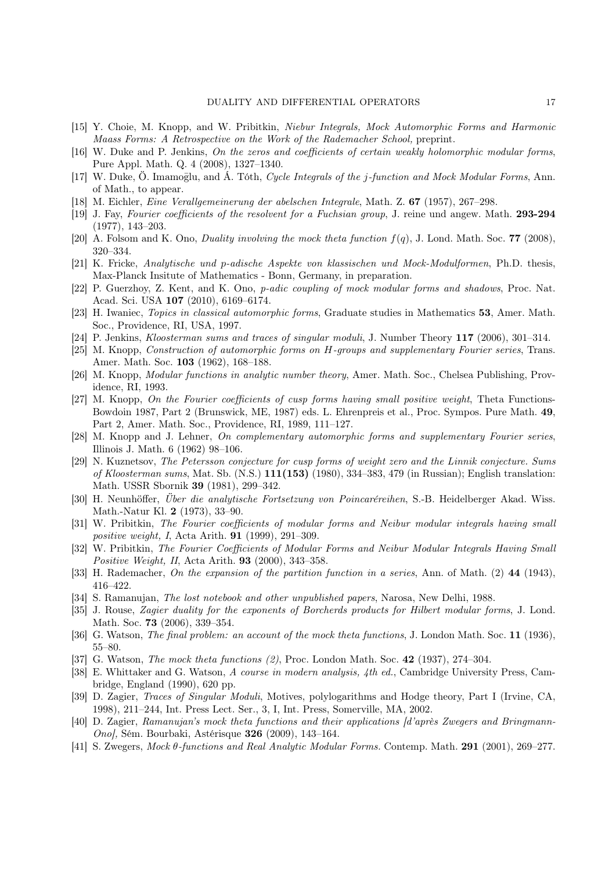- [15] Y. Choie, M. Knopp, and W. Pribitkin, Niebur Integrals, Mock Automorphic Forms and Harmonic Maass Forms: A Retrospective on the Work of the Rademacher School, preprint.
- [16] W. Duke and P. Jenkins, On the zeros and coefficients of certain weakly holomorphic modular forms, Pure Appl. Math. Q. 4 (2008), 1327–1340.
- [17] W. Duke, Ö. Imamoglu, and Á. Tóth, *Cucle Integrals of the j-function and Mock Modular Forms*, Ann. of Math., to appear.
- [18] M. Eichler, Eine Verallgemeinerung der abelschen Integrale, Math. Z. 67 (1957), 267–298.
- [19] J. Fay, Fourier coefficients of the resolvent for a Fuchsian group, J. reine und angew. Math. 293-294 (1977), 143–203.
- [20] A. Folsom and K. Ono, Duality involving the mock theta function  $f(q)$ , J. Lond. Math. Soc. 77 (2008), 320–334.
- [21] K. Fricke, Analytische und p-adische Aspekte von klassischen und Mock-Modulformen, Ph.D. thesis, Max-Planck Insitute of Mathematics - Bonn, Germany, in preparation.
- [22] P. Guerzhoy, Z. Kent, and K. Ono, p-adic coupling of mock modular forms and shadows, Proc. Nat. Acad. Sci. USA 107 (2010), 6169–6174.
- [23] H. Iwaniec, Topics in classical automorphic forms, Graduate studies in Mathematics 53, Amer. Math. Soc., Providence, RI, USA, 1997.
- [24] P. Jenkins, Kloosterman sums and traces of singular moduli, J. Number Theory 117 (2006), 301–314.
- [25] M. Knopp, Construction of automorphic forms on H-groups and supplementary Fourier series, Trans. Amer. Math. Soc. 103 (1962), 168–188.
- [26] M. Knopp, Modular functions in analytic number theory, Amer. Math. Soc., Chelsea Publishing, Providence, RI, 1993.
- [27] M. Knopp, On the Fourier coefficients of cusp forms having small positive weight, Theta Functions-Bowdoin 1987, Part 2 (Brunswick, ME, 1987) eds. L. Ehrenpreis et al., Proc. Sympos. Pure Math. 49, Part 2, Amer. Math. Soc., Providence, RI, 1989, 111–127.
- [28] M. Knopp and J. Lehner, On complementary automorphic forms and supplementary Fourier series, Illinois J. Math. 6 (1962) 98–106.
- [29] N. Kuznetsov, The Petersson conjecture for cusp forms of weight zero and the Linnik conjecture. Sums of Kloosterman sums, Mat. Sb. (N.S.) 111(153) (1980), 334–383, 479 (in Russian); English translation: Math. USSR Sbornik 39 (1981), 299–342.
- [30] H. Neunhöffer, Über die analytische Fortsetzung von Poincaréreihen, S.-B. Heidelberger Akad. Wiss. Math.-Natur Kl. 2 (1973), 33–90.
- [31] W. Pribitkin, The Fourier coefficients of modular forms and Neibur modular integrals having small positive weight, I, Acta Arith. 91 (1999), 291–309.
- [32] W. Pribitkin, The Fourier Coefficients of Modular Forms and Neibur Modular Integrals Having Small Positive Weight, II, Acta Arith. 93 (2000), 343–358.
- [33] H. Rademacher, On the expansion of the partition function in a series, Ann. of Math. (2) 44 (1943), 416–422.
- [34] S. Ramanujan, *The lost notebook and other unpublished papers*, Narosa, New Delhi, 1988.
- [35] J. Rouse, Zagier duality for the exponents of Borcherds products for Hilbert modular forms, J. Lond. Math. Soc. 73 (2006), 339–354.
- [36] G. Watson, The final problem: an account of the mock theta functions, J. London Math. Soc. 11 (1936), 55–80.
- [37] G. Watson, *The mock theta functions* (2), Proc. London Math. Soc. 42 (1937), 274–304.
- [38] E. Whittaker and G. Watson, A course in modern analysis, 4th ed., Cambridge University Press, Cambridge, England (1990), 620 pp.
- [39] D. Zagier, Traces of Singular Moduli, Motives, polylogarithms and Hodge theory, Part I (Irvine, CA, 1998), 211–244, Int. Press Lect. Ser., 3, I, Int. Press, Somerville, MA, 2002.
- [40] D. Zagier, Ramanujan's mock theta functions and their applications [d'après Zwegers and Bringmann-Ono], Sém. Bourbaki, Astérisque 326 (2009), 143–164.
- [41] S. Zwegers, Mock θ-functions and Real Analytic Modular Forms. Contemp. Math. 291 (2001), 269–277.